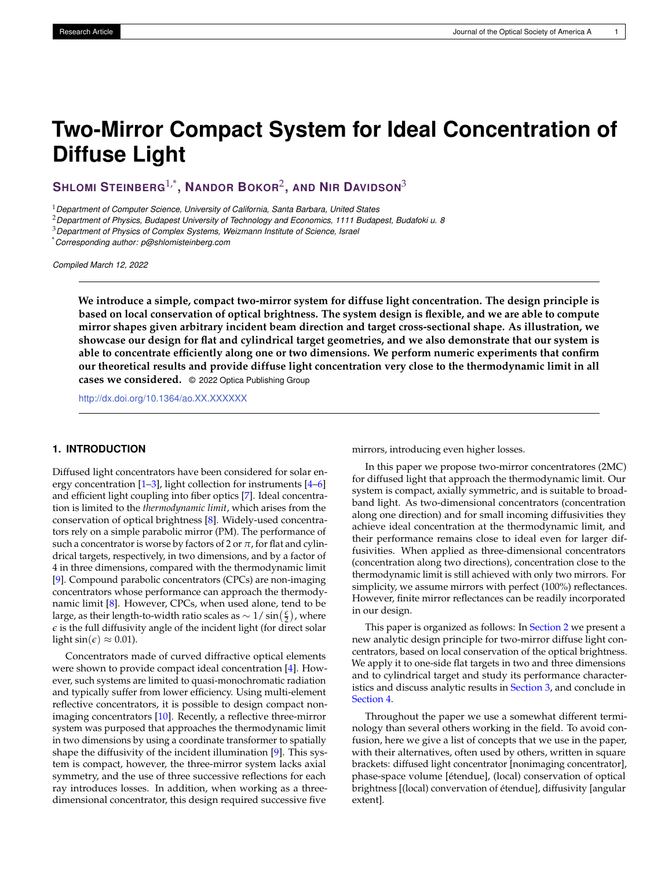# **Two-Mirror Compact System for Ideal Concentration of Diffuse Light**

**SHLOMI STEINBERG**1,\* **, NANDOR BOKOR**<sup>2</sup> **, AND NIR DAVIDSON**<sup>3</sup>

<sup>1</sup>*Department of Computer Science, University of California, Santa Barbara, United States*

<sup>2</sup>*Department of Physics, Budapest University of Technology and Economics, 1111 Budapest, Budafoki u. 8*

<sup>3</sup>*Department of Physics of Complex Systems, Weizmann Institute of Science, Israel*

\**Corresponding author: p@shlomisteinberg.com*

*Compiled March 12, 2022*

**We introduce a simple, compact two-mirror system for diffuse light concentration. The design principle is based on local conservation of optical brightness. The system design is flexible, and we are able to compute mirror shapes given arbitrary incident beam direction and target cross-sectional shape. As illustration, we showcase our design for flat and cylindrical target geometries, and we also demonstrate that our system is able to concentrate efficiently along one or two dimensions. We perform numeric experiments that confirm our theoretical results and provide diffuse light concentration very close to the thermodynamic limit in all cases we considered.** © 2022 Optica Publishing Group

<http://dx.doi.org/10.1364/ao.XX.XXXXXX>

# **1. INTRODUCTION**

Diffused light concentrators have been considered for solar energy concentration  $[1-3]$  $[1-3]$ , light collection for instruments  $[4-6]$  $[4-6]$ and efficient light coupling into fiber optics [\[7\]](#page-5-4). Ideal concentration is limited to the *thermodynamic limit*, which arises from the conservation of optical brightness [\[8\]](#page-5-5). Widely-used concentrators rely on a simple parabolic mirror (PM). The performance of such a concentrator is worse by factors of 2 or  $\pi$ , for flat and cylindrical targets, respectively, in two dimensions, and by a factor of 4 in three dimensions, compared with the thermodynamic limit [\[9\]](#page-5-6). Compound parabolic concentrators (CPCs) are non-imaging concentrators whose performance can approach the thermodynamic limit  $[8]$ . However, CPCs, when used alone, tend to be large, as their length-to-width ratio scales as  $\sim 1/\sin(\frac{\epsilon}{2})$ , where *e* is the full diffusivity angle of the incident light (for direct solar light  $\sin(\epsilon) \approx 0.01$ ).

Concentrators made of curved diffractive optical elements were shown to provide compact ideal concentration [\[4\]](#page-5-2). However, such systems are limited to quasi-monochromatic radiation and typically suffer from lower efficiency. Using multi-element reflective concentrators, it is possible to design compact nonimaging concentrators [\[10\]](#page-5-7). Recently, a reflective three-mirror system was purposed that approaches the thermodynamic limit in two dimensions by using a coordinate transformer to spatially shape the diffusivity of the incident illumination [\[9\]](#page-5-6). This system is compact, however, the three-mirror system lacks axial symmetry, and the use of three successive reflections for each ray introduces losses. In addition, when working as a threedimensional concentrator, this design required successive five

mirrors, introducing even higher losses.

In this paper we propose two-mirror concentratores (2MC) for diffused light that approach the thermodynamic limit. Our system is compact, axially symmetric, and is suitable to broadband light. As two-dimensional concentrators (concentration along one direction) and for small incoming diffusivities they achieve ideal concentration at the thermodynamic limit, and their performance remains close to ideal even for larger diffusivities. When applied as three-dimensional concentrators (concentration along two directions), concentration close to the thermodynamic limit is still achieved with only two mirrors. For simplicity, we assume mirrors with perfect (100%) reflectances. However, finite mirror reflectances can be readily incorporated in our design.

This paper is organized as follows: In [Section 2](#page-0-0) we present a new analytic design principle for two-mirror diffuse light concentrators, based on local conservation of the optical brightness. We apply it to one-side flat targets in two and three dimensions and to cylindrical target and study its performance characteristics and discuss analytic results in [Section 3,](#page-2-0) and conclude in [Section 4.](#page-4-0)

<span id="page-0-0"></span>Throughout the paper we use a somewhat different terminology than several others working in the field. To avoid confusion, here we give a list of concepts that we use in the paper, with their alternatives, often used by others, written in square brackets: diffused light concentrator [nonimaging concentrator], phase-space volume [étendue], (local) conservation of optical brightness [(local) convervation of étendue], diffusivity [angular extent].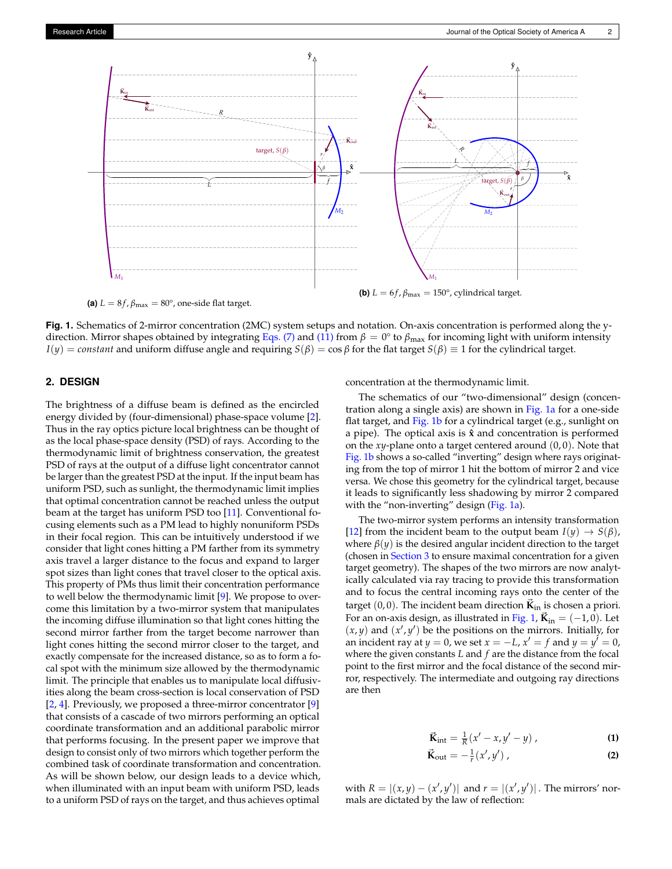<span id="page-1-0"></span>

direction. Mirror shapes obtained by integrating [Eqs. \(7\)](#page-2-1) and [\(11\)](#page-2-2) from  $β = 0°$  to  $β_{\text{max}}$  for incoming light with uniform intensity

 $I(y) = constant$  and uniform diffuse angle and requiring  $S(\beta) = \cos \beta$  for the flat target  $S(\beta) \equiv 1$  for the cylindrical target.

**Fig. 1.** Schematics of 2-mirror concentration (2MC) system setups and notation. On-axis concentration is performed along the y-

#### **2. DESIGN**

The brightness of a diffuse beam is defined as the encircled energy divided by (four-dimensional) phase-space volume [\[2\]](#page-5-8). Thus in the ray optics picture local brightness can be thought of as the local phase-space density (PSD) of rays. According to the thermodynamic limit of brightness conservation, the greatest PSD of rays at the output of a diffuse light concentrator cannot be larger than the greatest PSD at the input. If the input beam has uniform PSD, such as sunlight, the thermodynamic limit implies that optimal concentration cannot be reached unless the output beam at the target has uniform PSD too [\[11\]](#page-5-9). Conventional focusing elements such as a PM lead to highly nonuniform PSDs in their focal region. This can be intuitively understood if we consider that light cones hitting a PM farther from its symmetry axis travel a larger distance to the focus and expand to larger spot sizes than light cones that travel closer to the optical axis. This property of PMs thus limit their concentration performance to well below the thermodynamic limit [\[9\]](#page-5-6). We propose to overcome this limitation by a two-mirror system that manipulates the incoming diffuse illumination so that light cones hitting the second mirror farther from the target become narrower than light cones hitting the second mirror closer to the target, and exactly compensate for the increased distance, so as to form a focal spot with the minimum size allowed by the thermodynamic limit. The principle that enables us to manipulate local diffusivities along the beam cross-section is local conservation of PSD [\[2,](#page-5-8) [4\]](#page-5-2). Previously, we proposed a three-mirror concentrator [\[9\]](#page-5-6) that consists of a cascade of two mirrors performing an optical coordinate transformation and an additional parabolic mirror that performs focusing. In the present paper we improve that design to consist only of two mirrors which together perform the combined task of coordinate transformation and concentration. As will be shown below, our design leads to a device which, when illuminated with an input beam with uniform PSD, leads to a uniform PSD of rays on the target, and thus achieves optimal

concentration at the thermodynamic limit.

The schematics of our "two-dimensional" design (concentration along a single axis) are shown in [Fig. 1a](#page-1-0) for a one-side flat target, and [Fig. 1b](#page-1-0) for a cylindrical target (e.g., sunlight on a pipe). The optical axis is **ˆx** and concentration is performed on the *xy*-plane onto a target centered around (0, 0). Note that [Fig. 1b](#page-1-0) shows a so-called "inverting" design where rays originating from the top of mirror 1 hit the bottom of mirror 2 and vice versa. We chose this geometry for the cylindrical target, because it leads to significantly less shadowing by mirror 2 compared with the "non-inverting" design [\(Fig. 1a\)](#page-1-0).

The two-mirror system performs an intensity transformation [\[12\]](#page-5-10) from the incident beam to the output beam  $I(y) \rightarrow S(\beta)$ , where  $\beta(y)$  is the desired angular incident direction to the target (chosen in [Section 3](#page-2-0) to ensure maximal concentration for a given target geometry). The shapes of the two mirrors are now analytically calculated via ray tracing to provide this transformation and to focus the central incoming rays onto the center of the target  $(0, 0)$ . The incident beam direction  $\vec{\bf{k}}_{in}$  is chosen a priori. For an on-axis design, as illustrated in [Fig. 1,](#page-1-0)  $\vec{\bf K}_{in} = (-1, 0)$ . Let  $(x, y)$  and  $(x', y')$  be the positions on the mirrors. Initially, for an incident ray at  $y = 0$ , we set  $x = -L$ ,  $x' = f$  and  $y = y' = 0$ , where the given constants *L* and *f* are the distance from the focal point to the first mirror and the focal distance of the second mirror, respectively. The intermediate and outgoing ray directions are then

$$
\vec{\mathbf{K}}_{\text{int}} = \frac{1}{R} (x'-x, y'-y) , \qquad (1)
$$

$$
\vec{\mathbf{K}}_{\text{out}} = -\frac{1}{r}(x', y')\,,\tag{2}
$$

with  $R = |(x, y) - (x', y')|$  and  $r = |(x', y')|$ . The mirrors' normals are dictated by the law of reflection: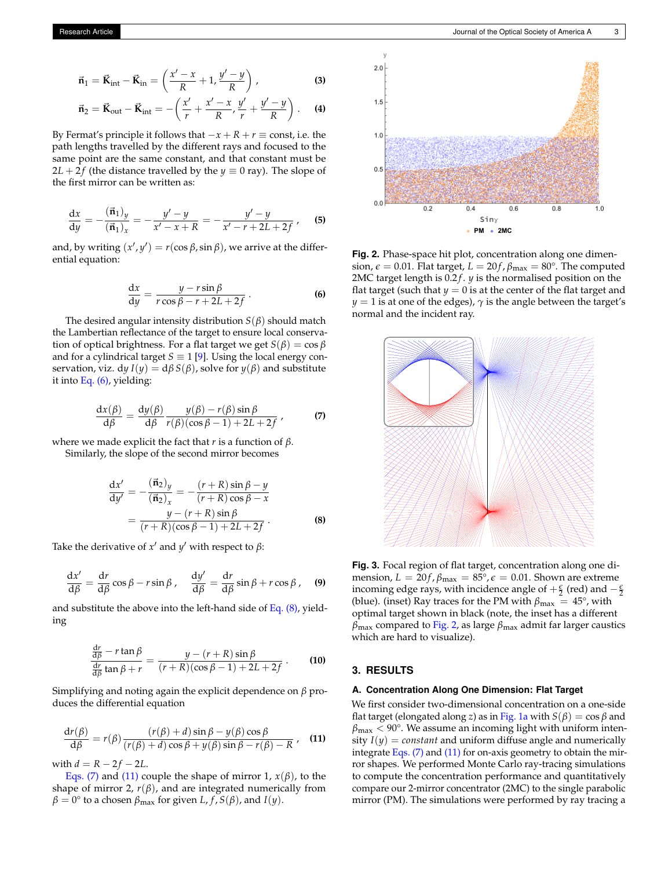$$
\vec{\mathbf{n}}_1 = \vec{\mathbf{K}}_{int} - \vec{\mathbf{K}}_{in} = \left(\frac{x'-x}{R} + 1, \frac{y'-y}{R}\right),\tag{3}
$$

$$
\vec{n}_2 = \vec{K}_{\text{out}} - \vec{K}_{\text{int}} = -\left(\frac{x'}{r} + \frac{x'-x}{R}, \frac{y'}{r} + \frac{y'-y}{R}\right). \tag{4}
$$

By Fermat's principle it follows that  $-x + R + r \equiv$  const, i.e. the path lengths travelled by the different rays and focused to the same point are the same constant, and that constant must be  $2L + 2f$  (the distance travelled by the  $y \equiv 0$  ray). The slope of the first mirror can be written as:

$$
\frac{dx}{dy} = -\frac{(\vec{n}_1)_y}{(\vec{n}_1)_x} = -\frac{y' - y}{x' - x + R} = -\frac{y' - y}{x' - r + 2L + 2f},
$$
 (5)

and, by writing  $(x', y') = r(\cos \beta, \sin \beta)$ , we arrive at the differential equation:

$$
\frac{\mathrm{d}x}{\mathrm{d}y} = \frac{y - r\sin\beta}{r\cos\beta - r + 2L + 2f} \,. \tag{6}
$$

The desired angular intensity distribution  $S(\beta)$  should match the Lambertian reflectance of the target to ensure local conservation of optical brightness. For a flat target we get *S*(*β*) = cos *β* and for a cylindrical target  $S \equiv 1$  [\[9\]](#page-5-6). Using the local energy conservation, viz. d*y*  $I(y) = d\beta S(\beta)$ , solve for  $y(\beta)$  and substitute it into [Eq. \(6\),](#page-2-3) yielding:

$$
\frac{dx(\beta)}{d\beta} = \frac{dy(\beta)}{d\beta} \frac{y(\beta) - r(\beta)\sin\beta}{r(\beta)(\cos\beta - 1) + 2L + 2f},
$$
 (7)

where we made explicit the fact that *r* is a function of *β*. Similarly, the slope of the second mirror becomes

$$
\frac{dx'}{dy'} = -\frac{(\vec{n}_2)_y}{(\vec{n}_2)_x} = -\frac{(r+R)\sin\beta - y}{(r+R)\cos\beta - x} \n= \frac{y - (r+R)\sin\beta}{(r+R)(\cos\beta - 1) + 2L + 2f}.
$$
\n(8)

Take the derivative of  $x'$  and  $y'$  with respect to  $\beta$ :

$$
\frac{\mathrm{d}x'}{\mathrm{d}\beta} = \frac{\mathrm{d}r}{\mathrm{d}\beta}\cos\beta - r\sin\beta\,,\quad \frac{\mathrm{d}y'}{\mathrm{d}\beta} = \frac{\mathrm{d}r}{\mathrm{d}\beta}\sin\beta + r\cos\beta\,,\quad (9)
$$

and substitute the above into the left-hand side of Eq.  $(8)$ , yielding

$$
\frac{\frac{dr}{d\beta} - r\tan\beta}{\frac{dr}{d\beta}\tan\beta + r} = \frac{y - (r + R)\sin\beta}{(r + R)(\cos\beta - 1) + 2L + 2f}.
$$
 (10)

Simplifying and noting again the explicit dependence on *β* produces the differential equation

$$
\frac{d r(\beta)}{d \beta} = r(\beta) \frac{(r(\beta) + d) \sin \beta - y(\beta) \cos \beta}{(r(\beta) + d) \cos \beta + y(\beta) \sin \beta - r(\beta) - R},
$$
 (11)

with  $d = R - 2f - 2L$ .

<span id="page-2-0"></span>[Eqs. \(7\)](#page-2-1) and [\(11\)](#page-2-2) couple the shape of mirror 1,  $x(\beta)$ , to the shape of mirror 2,  $r(\beta)$ , and are integrated numerically from  $\beta = 0^{\circ}$  to a chosen  $\beta_{\text{max}}$  for given *L*, *f*, *S*( $\beta$ ), and *I*(*y*).

<span id="page-2-5"></span>

<span id="page-2-3"></span>**Fig. 2.** Phase-space hit plot, concentration along one dimension,  $\epsilon = 0.01$ . Flat target,  $L = 20f$ ,  $\beta_{\text{max}} = 80^{\circ}$ . The computed 2MC target length is 0.2*f*. *y* is the normalised position on the flat target (such that  $y = 0$  is at the center of the flat target and *y* = 1 is at one of the edges),  $\gamma$  is the angle between the target's normal and the incident ray.

<span id="page-2-6"></span><span id="page-2-1"></span>

<span id="page-2-4"></span>**Fig. 3.** Focal region of flat target, concentration along one dimension,  $L = 20f$ ,  $\beta_{\text{max}} = 85^{\circ}$ ,  $\epsilon = 0.01$ . Shown are extreme incoming edge rays, with incidence angle of  $+\frac{\epsilon}{2}$  (red) and  $-\frac{\epsilon}{2}$ (blue). (inset) Ray traces for the PM with  $\beta_{\text{max}} = 45^{\circ}$ , with optimal target shown in black (note, the inset has a different *β*max compared to [Fig. 2,](#page-2-5) as large *β*max admit far larger caustics which are hard to visualize).

## **3. RESULTS**

#### **A. Concentration Along One Dimension: Flat Target**

<span id="page-2-2"></span>We first consider two-dimensional concentration on a one-side flat target (elongated along *z*) as in [Fig. 1a](#page-1-0) with  $S(\beta) = \cos \beta$  and  $\beta_{\text{max}}$  < 90°. We assume an incoming light with uniform intensity  $I(y) = constant$  and uniform diffuse angle and numerically integrate Eqs.  $(7)$  and  $(11)$  for on-axis geometry to obtain the mirror shapes. We performed Monte Carlo ray-tracing simulations to compute the concentration performance and quantitatively compare our 2-mirror concentrator (2MC) to the single parabolic mirror (PM). The simulations were performed by ray tracing a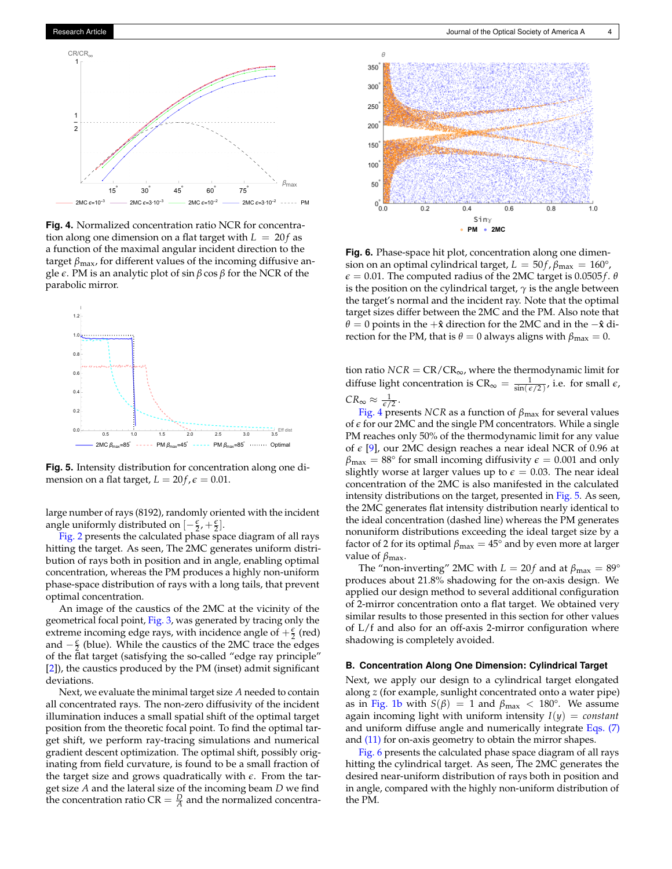<span id="page-3-0"></span>

**Fig. 4.** Normalized concentration ratio NCR for concentration along one dimension on a flat target with  $L = 20f$  as a function of the maximal angular incident direction to the target *β*max, for different values of the incoming diffusive angle *e*. PM is an analytic plot of sin *β* cos *β* for the NCR of the parabolic mirror.

<span id="page-3-1"></span>

**Fig. 5.** Intensity distribution for concentration along one dimension on a flat target,  $L = 20f$ ,  $\epsilon = 0.01$ .

large number of rays (8192), randomly oriented with the incident angle uniformly distributed on  $[-\frac{\epsilon}{2}, +\frac{\epsilon}{2}]$ .

[Fig. 2](#page-2-5) presents the calculated phase space diagram of all rays hitting the target. As seen, The 2MC generates uniform distribution of rays both in position and in angle, enabling optimal concentration, whereas the PM produces a highly non-uniform phase-space distribution of rays with a long tails, that prevent optimal concentration.

An image of the caustics of the 2MC at the vicinity of the geometrical focal point, [Fig. 3,](#page-2-6) was generated by tracing only the extreme incoming edge rays, with incidence angle of  $+\frac{\epsilon}{2}$  (red) and −*<sup>e</sup>* 2 (blue). While the caustics of the 2MC trace the edges of the flat target (satisfying the so-called "edge ray principle" [\[2\]](#page-5-8)), the caustics produced by the PM (inset) admit significant deviations.

Next, we evaluate the minimal target size *A* needed to contain all concentrated rays. The non-zero diffusivity of the incident illumination induces a small spatial shift of the optimal target position from the theoretic focal point. To find the optimal target shift, we perform ray-tracing simulations and numerical gradient descent optimization. The optimal shift, possibly originating from field curvature, is found to be a small fraction of the target size and grows quadratically with *e*. From the target size *A* and the lateral size of the incoming beam *D* we find the concentration ratio  $CR = \frac{D}{A}$  and the normalized concentra-

<span id="page-3-2"></span>

**Fig. 6.** Phase-space hit plot, concentration along one dimension on an optimal cylindrical target,  $L = 50f$ ,  $\beta_{\text{max}} = 160^{\circ}$ ,  $\epsilon$  = 0.01. The computed radius of the 2MC target is 0.0505*f*.  $\theta$ is the position on the cylindrical target,  $\gamma$  is the angle between the target's normal and the incident ray. Note that the optimal target sizes differ between the 2MC and the PM. Also note that *θ* = 0 points in the +**ˆx** direction for the 2MC and in the −**ˆx** direction for the PM, that is  $\theta = 0$  always aligns with  $\beta_{\text{max}} = 0$ .

tion ratio  $NCR = CR/CR_{\infty}$ , where the thermodynamic limit for diffuse light concentration is  $CR_{\infty} = \frac{1}{\sin(\epsilon/2)},$  i.e. for small  $\epsilon$ ,  $CR_{\infty} \approx \frac{1}{\epsilon/2}$ .

[Fig. 4](#page-3-0) presents *NCR* as a function of *β*max for several values of *e* for our 2MC and the single PM concentrators. While a single PM reaches only 50% of the thermodynamic limit for any value of *e* [\[9\]](#page-5-6), our 2MC design reaches a near ideal NCR of 0.96 at  $\beta_{\text{max}} = 88^{\circ}$  for small incoming diffusivity  $\epsilon = 0.001$  and only slightly worse at larger values up to  $\epsilon=0.03.$  The near ideal concentration of the 2MC is also manifested in the calculated intensity distributions on the target, presented in [Fig. 5.](#page-3-1) As seen, the 2MC generates flat intensity distribution nearly identical to the ideal concentration (dashed line) whereas the PM generates nonuniform distributions exceeding the ideal target size by a factor of 2 for its optimal  $\beta_{\text{max}} = 45^{\circ}$  and by even more at larger value of *β*max.

The "non-inverting" 2MC with  $L = 20f$  and at  $\beta_{\text{max}} = 89^{\circ}$ produces about 21.8% shadowing for the on-axis design. We applied our design method to several additional configuration of 2-mirror concentration onto a flat target. We obtained very similar results to those presented in this section for other values of L/f and also for an off-axis 2-mirror configuration where shadowing is completely avoided.

#### **B. Concentration Along One Dimension: Cylindrical Target**

Next, we apply our design to a cylindrical target elongated along *z* (for example, sunlight concentrated onto a water pipe) as in [Fig. 1b](#page-1-0) with  $S(\beta) = 1$  and  $\beta_{\text{max}} < 180^{\circ}$ . We assume again incoming light with uniform intensity *I*(*y*) = *constant* and uniform diffuse angle and numerically integrate [Eqs. \(7\)](#page-2-1) and [\(11\)](#page-2-2) for on-axis geometry to obtain the mirror shapes.

[Fig. 6](#page-3-2) presents the calculated phase space diagram of all rays hitting the cylindrical target. As seen, The 2MC generates the desired near-uniform distribution of rays both in position and in angle, compared with the highly non-uniform distribution of the PM.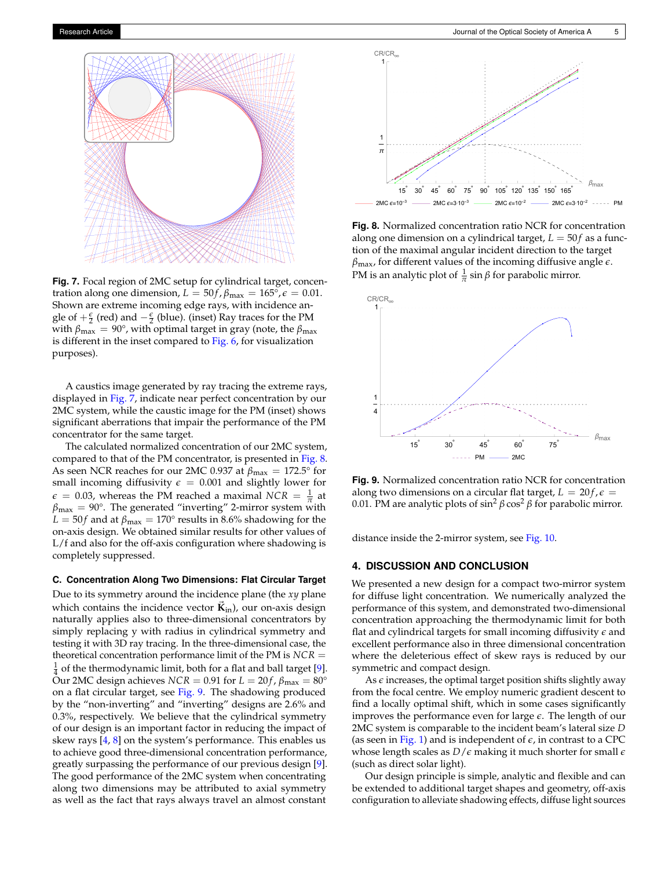<span id="page-4-1"></span>

**Fig. 7.** Focal region of 2MC setup for cylindrical target, concentration along one dimension,  $L = 50f$ ,  $\beta_{\text{max}} = 165^{\circ}$ ,  $\epsilon = 0.01$ . Shown are extreme incoming edge rays, with incidence angle of  $+\frac{\epsilon}{2}$  (red) and  $-\frac{\epsilon}{2}$  (blue). (inset) Ray traces for the PM with  $β_{max} = 90°$ , with optimal target in gray (note, the  $β_{max}$ is different in the inset compared to [Fig. 6,](#page-3-2) for visualization purposes).

A caustics image generated by ray tracing the extreme rays, displayed in [Fig. 7,](#page-4-1) indicate near perfect concentration by our 2MC system, while the caustic image for the PM (inset) shows significant aberrations that impair the performance of the PM concentrator for the same target.

The calculated normalized concentration of our 2MC system, compared to that of the PM concentrator, is presented in [Fig. 8.](#page-4-2) As seen NCR reaches for our 2MC 0.937 at  $\beta_{\text{max}} = 172.5^{\circ}$  for small incoming diffusivity  $\epsilon = 0.001$  and slightly lower for  $\epsilon = 0.03$ , whereas the PM reached a maximal *NCR* =  $\frac{1}{\pi}$  at  $\beta_{\text{max}} = 90^{\circ}$ . The generated "inverting" 2-mirror system with  $L = 50f$  and at  $\beta_{\text{max}} = 170^{\circ}$  results in 8.6% shadowing for the on-axis design. We obtained similar results for other values of L/f and also for the off-axis configuration where shadowing is completely suppressed.

**C. Concentration Along Two Dimensions: Flat Circular Target**

Due to its symmetry around the incidence plane (the *xy* plane which contains the incidence vector  $\vec{\mathbf{K}}_{in}$ ), our on-axis design naturally applies also to three-dimensional concentrators by simply replacing y with radius in cylindrical symmetry and testing it with 3D ray tracing. In the three-dimensional case, the theoretical concentration performance limit of the PM is *NCR* =  $\frac{1}{4}$  of the thermodynamic limit, both for a flat and ball target [\[9\]](#page-5-6). Our 2MC design achieves  $NCR = 0.91$  for  $L = 20f$ ,  $\beta_{\text{max}} = 80^{\circ}$ on a flat circular target, see [Fig. 9.](#page-4-3) The shadowing produced by the "non-inverting" and "inverting" designs are 2.6% and 0.3%, respectively. We believe that the cylindrical symmetry of our design is an important factor in reducing the impact of skew rays [\[4,](#page-5-2) [8\]](#page-5-5) on the system's performance. This enables us to achieve good three-dimensional concentration performance, greatly surpassing the performance of our previous design [\[9\]](#page-5-6). The good performance of the 2MC system when concentrating along two dimensions may be attributed to axial symmetry as well as the fact that rays always travel an almost constant

<span id="page-4-2"></span>

**Fig. 8.** Normalized concentration ratio NCR for concentration along one dimension on a cylindrical target,  $L = 50f$  as a function of the maximal angular incident direction to the target *β*max, for different values of the incoming diffusive angle *e*. PM is an analytic plot of  $\frac{1}{\pi}$  sin  $\beta$  for parabolic mirror.

<span id="page-4-3"></span>

**Fig. 9.** Normalized concentration ratio NCR for concentration along two dimensions on a circular flat target,  $L = 20f$ ,  $\epsilon =$ 0.01. PM are analytic plots of  $\sin^2 \beta \cos^2 \beta$  for parabolic mirror.

<span id="page-4-0"></span>distance inside the 2-mirror system, see [Fig. 10.](#page-5-11)

### **4. DISCUSSION AND CONCLUSION**

We presented a new design for a compact two-mirror system for diffuse light concentration. We numerically analyzed the performance of this system, and demonstrated two-dimensional concentration approaching the thermodynamic limit for both flat and cylindrical targets for small incoming diffusivity *e* and excellent performance also in three dimensional concentration where the deleterious effect of skew rays is reduced by our symmetric and compact design.

As  $\epsilon$  increases, the optimal target position shifts slightly away from the focal centre. We employ numeric gradient descent to find a locally optimal shift, which in some cases significantly improves the performance even for large *e*. The length of our 2MC system is comparable to the incident beam's lateral size *D* (as seen in [Fig. 1\)](#page-1-0) and is independent of  $\epsilon$ , in contrast to a CPC whose length scales as *D*/*e* making it much shorter for small *e* (such as direct solar light).

Our design principle is simple, analytic and flexible and can be extended to additional target shapes and geometry, off-axis configuration to alleviate shadowing effects, diffuse light sources